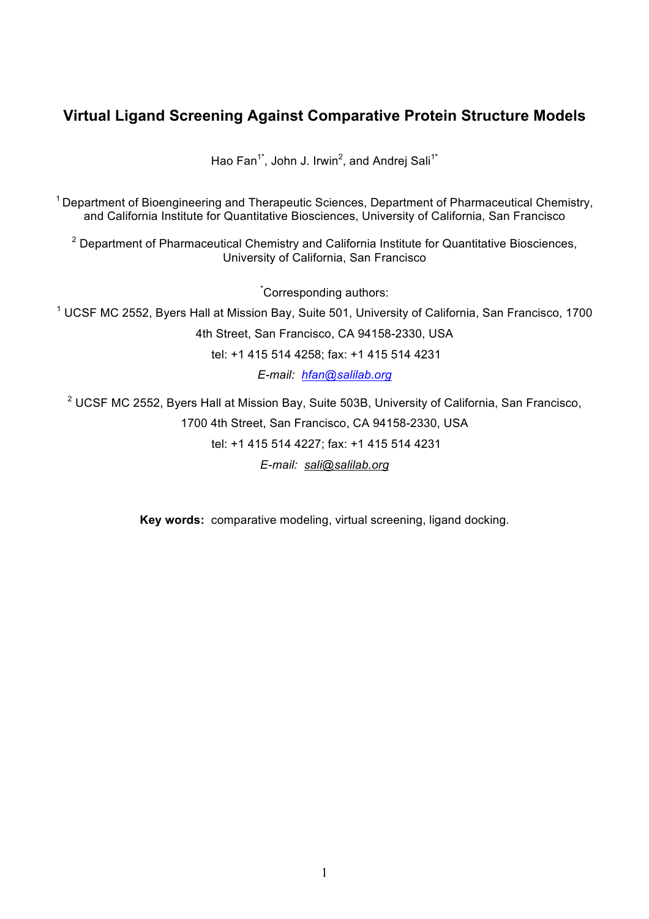# **Virtual Ligand Screening Against Comparative Protein Structure Models**

Hao Fan<sup>1\*</sup>, John J. Irwin<sup>2</sup>, and Andrej Sali<sup>1\*</sup>

 $1$  Department of Bioengineering and Therapeutic Sciences, Department of Pharmaceutical Chemistry, and California Institute for Quantitative Biosciences, University of California, San Francisco

<sup>2</sup> Department of Pharmaceutical Chemistry and California Institute for Quantitative Biosciences, University of California, San Francisco

\* Corresponding authors:

<sup>1</sup> UCSF MC 2552, Byers Hall at Mission Bay, Suite 501, University of California, San Francisco, 1700

4th Street, San Francisco, CA 94158-2330, USA

tel: +1 415 514 4258; fax: +1 415 514 4231

*E-mail: hfan@salilab.org*

<sup>2</sup> UCSF MC 2552, Byers Hall at Mission Bay, Suite 503B, University of California, San Francisco,

1700 4th Street, San Francisco, CA 94158-2330, USA tel: +1 415 514 4227; fax: +1 415 514 4231

*E-mail: sali@salilab.org*

**Key words:** comparative modeling, virtual screening, ligand docking.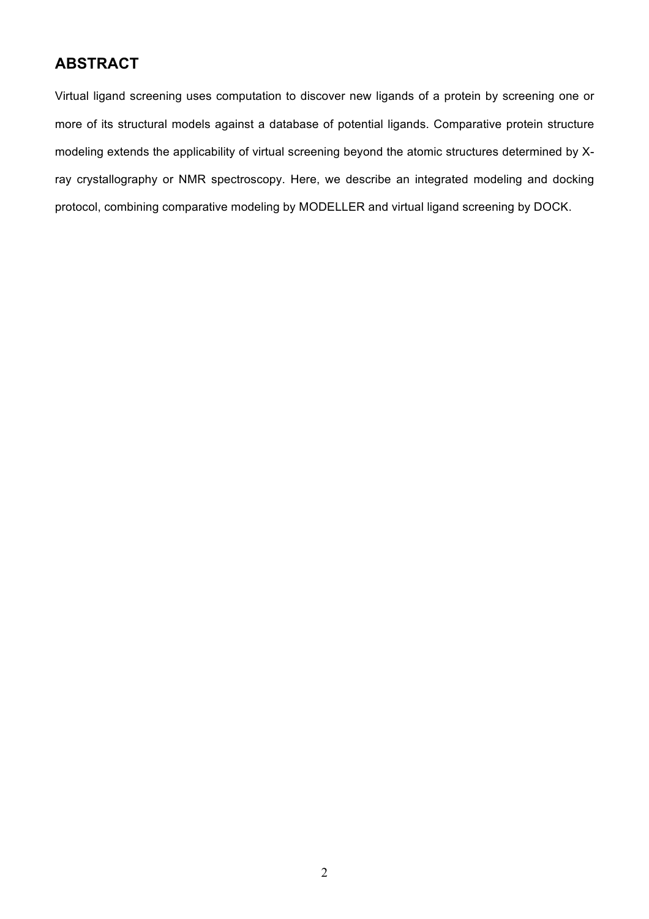# **ABSTRACT**

Virtual ligand screening uses computation to discover new ligands of a protein by screening one or more of its structural models against a database of potential ligands. Comparative protein structure modeling extends the applicability of virtual screening beyond the atomic structures determined by Xray crystallography or NMR spectroscopy. Here, we describe an integrated modeling and docking protocol, combining comparative modeling by MODELLER and virtual ligand screening by DOCK.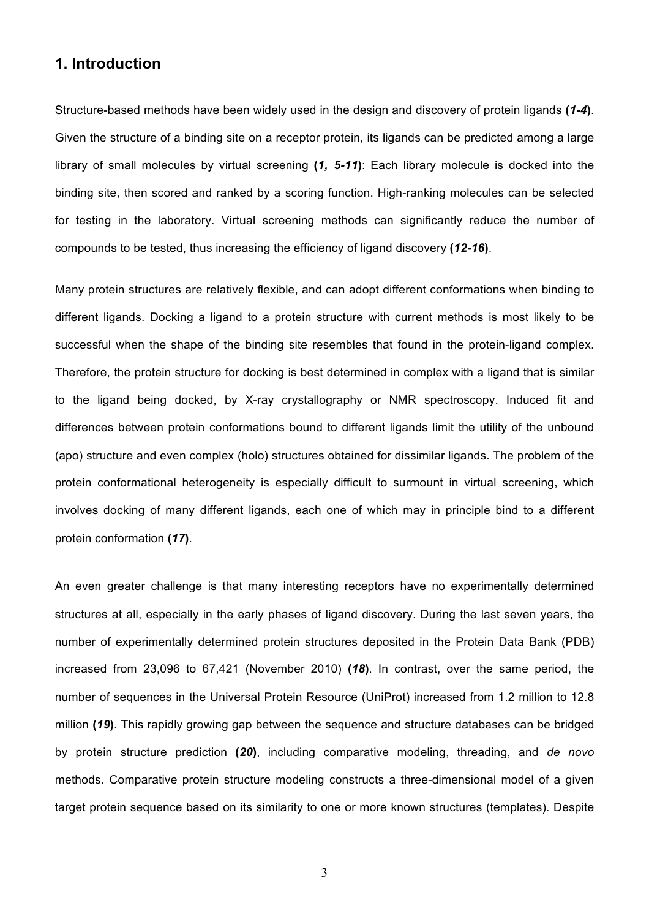## **1. Introduction**

Structure-based methods have been widely used in the design and discovery of protein ligands **(***1-4***)**. Given the structure of a binding site on a receptor protein, its ligands can be predicted among a large library of small molecules by virtual screening **(***1, 5-11***)**: Each library molecule is docked into the binding site, then scored and ranked by a scoring function. High-ranking molecules can be selected for testing in the laboratory. Virtual screening methods can significantly reduce the number of compounds to be tested, thus increasing the efficiency of ligand discovery **(***12-16***)**.

Many protein structures are relatively flexible, and can adopt different conformations when binding to different ligands. Docking a ligand to a protein structure with current methods is most likely to be successful when the shape of the binding site resembles that found in the protein-ligand complex. Therefore, the protein structure for docking is best determined in complex with a ligand that is similar to the ligand being docked, by X-ray crystallography or NMR spectroscopy. Induced fit and differences between protein conformations bound to different ligands limit the utility of the unbound (apo) structure and even complex (holo) structures obtained for dissimilar ligands. The problem of the protein conformational heterogeneity is especially difficult to surmount in virtual screening, which involves docking of many different ligands, each one of which may in principle bind to a different protein conformation **(***17***)**.

An even greater challenge is that many interesting receptors have no experimentally determined structures at all, especially in the early phases of ligand discovery. During the last seven years, the number of experimentally determined protein structures deposited in the Protein Data Bank (PDB) increased from 23,096 to 67,421 (November 2010) **(***18***)**. In contrast, over the same period, the number of sequences in the Universal Protein Resource (UniProt) increased from 1.2 million to 12.8 million **(***19***)**. This rapidly growing gap between the sequence and structure databases can be bridged by protein structure prediction **(***20***)**, including comparative modeling, threading, and *de novo* methods. Comparative protein structure modeling constructs a three-dimensional model of a given target protein sequence based on its similarity to one or more known structures (templates). Despite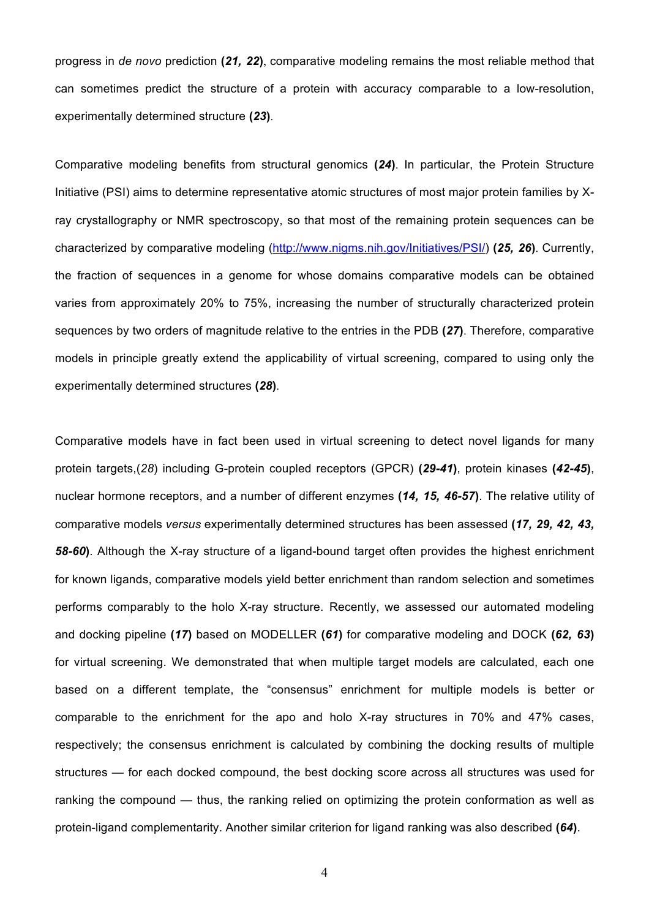progress in *de novo* prediction **(***21, 22***)**, comparative modeling remains the most reliable method that can sometimes predict the structure of a protein with accuracy comparable to a low-resolution, experimentally determined structure **(***23***)**.

Comparative modeling benefits from structural genomics **(***24***)**. In particular, the Protein Structure Initiative (PSI) aims to determine representative atomic structures of most major protein families by Xray crystallography or NMR spectroscopy, so that most of the remaining protein sequences can be characterized by comparative modeling (http://www.nigms.nih.gov/Initiatives/PSI/) **(***25, 26***)**. Currently, the fraction of sequences in a genome for whose domains comparative models can be obtained varies from approximately 20% to 75%, increasing the number of structurally characterized protein sequences by two orders of magnitude relative to the entries in the PDB **(***27***)**. Therefore, comparative models in principle greatly extend the applicability of virtual screening, compared to using only the experimentally determined structures **(***28***)**.

Comparative models have in fact been used in virtual screening to detect novel ligands for many protein targets,(*28*) including G-protein coupled receptors (GPCR) **(***29-41***)**, protein kinases **(***42-45***)**, nuclear hormone receptors, and a number of different enzymes **(***14, 15, 46-57***)**. The relative utility of comparative models *versus* experimentally determined structures has been assessed **(***17, 29, 42, 43, 58-60***)**. Although the X-ray structure of a ligand-bound target often provides the highest enrichment for known ligands, comparative models yield better enrichment than random selection and sometimes performs comparably to the holo X-ray structure. Recently, we assessed our automated modeling and docking pipeline **(***17***)** based on MODELLER **(***61***)** for comparative modeling and DOCK **(***62, 63***)** for virtual screening. We demonstrated that when multiple target models are calculated, each one based on a different template, the "consensus" enrichment for multiple models is better or comparable to the enrichment for the apo and holo X-ray structures in 70% and 47% cases, respectively; the consensus enrichment is calculated by combining the docking results of multiple structures — for each docked compound, the best docking score across all structures was used for ranking the compound — thus, the ranking relied on optimizing the protein conformation as well as protein-ligand complementarity. Another similar criterion for ligand ranking was also described **(***64***)**.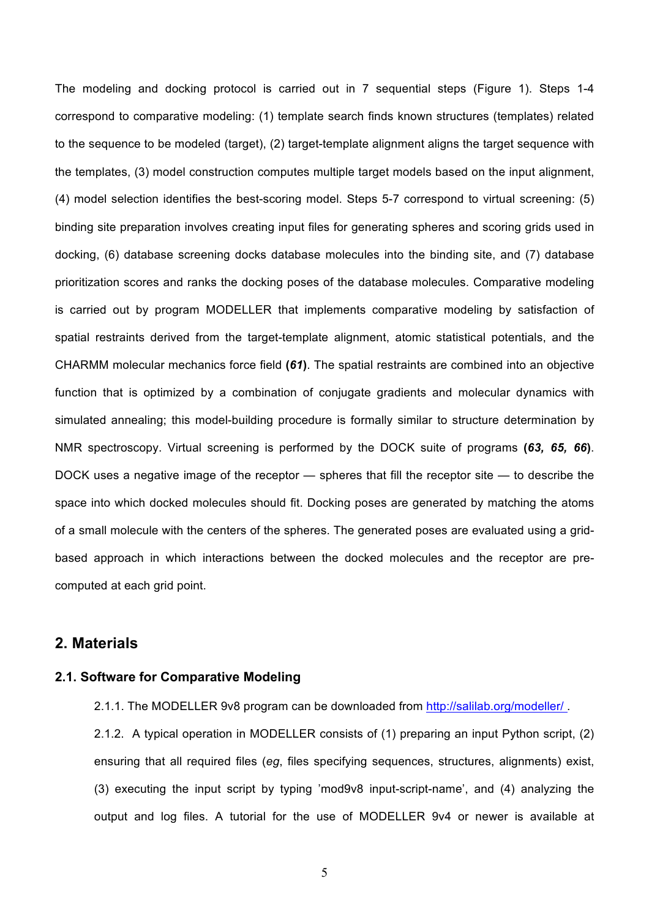The modeling and docking protocol is carried out in 7 sequential steps (Figure 1). Steps 1-4 correspond to comparative modeling: (1) template search finds known structures (templates) related to the sequence to be modeled (target), (2) target-template alignment aligns the target sequence with the templates, (3) model construction computes multiple target models based on the input alignment, (4) model selection identifies the best-scoring model. Steps 5-7 correspond to virtual screening: (5) binding site preparation involves creating input files for generating spheres and scoring grids used in docking, (6) database screening docks database molecules into the binding site, and (7) database prioritization scores and ranks the docking poses of the database molecules. Comparative modeling is carried out by program MODELLER that implements comparative modeling by satisfaction of spatial restraints derived from the target-template alignment, atomic statistical potentials, and the CHARMM molecular mechanics force field **(***61***)**. The spatial restraints are combined into an objective function that is optimized by a combination of conjugate gradients and molecular dynamics with simulated annealing; this model-building procedure is formally similar to structure determination by NMR spectroscopy. Virtual screening is performed by the DOCK suite of programs **(***63, 65, 66***)**. DOCK uses a negative image of the receptor — spheres that fill the receptor site — to describe the space into which docked molecules should fit. Docking poses are generated by matching the atoms of a small molecule with the centers of the spheres. The generated poses are evaluated using a gridbased approach in which interactions between the docked molecules and the receptor are precomputed at each grid point.

## **2. Materials**

#### **2.1. Software for Comparative Modeling**

2.1.1. The MODELLER 9v8 program can be downloaded from http://salilab.org/modeller/ .

2.1.2. A typical operation in MODELLER consists of (1) preparing an input Python script, (2) ensuring that all required files (*eg*, files specifying sequences, structures, alignments) exist, (3) executing the input script by typing 'mod9v8 input-script-name', and (4) analyzing the output and log files. A tutorial for the use of MODELLER 9v4 or newer is available at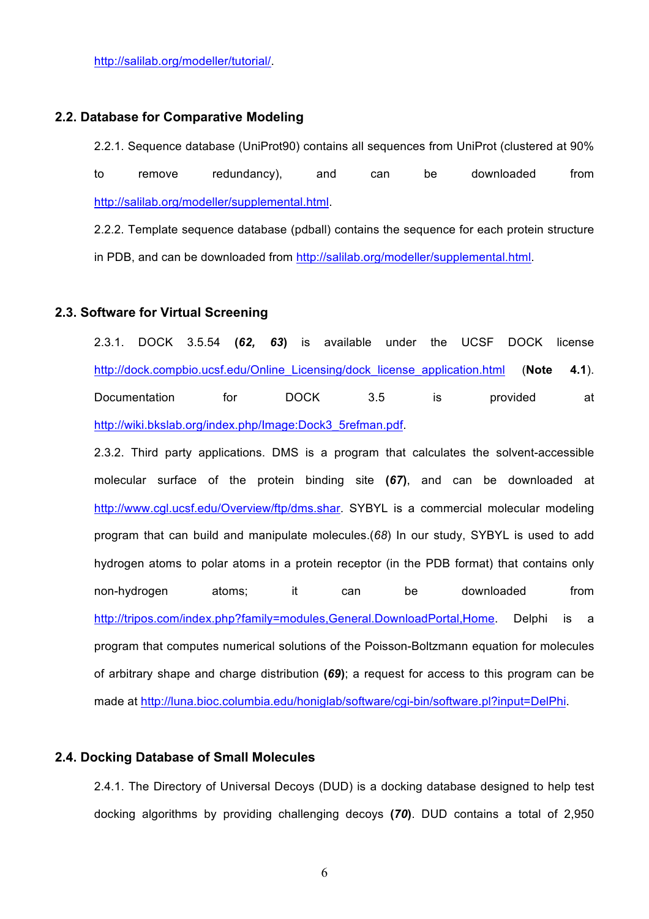http://salilab.org/modeller/tutorial/.

### **2.2. Database for Comparative Modeling**

2.2.1. Sequence database (UniProt90) contains all sequences from UniProt (clustered at 90% to remove redundancy), and can be downloaded from http://salilab.org/modeller/supplemental.html.

2.2.2. Template sequence database (pdball) contains the sequence for each protein structure in PDB, and can be downloaded from http://salilab.org/modeller/supplemental.html.

#### **2.3. Software for Virtual Screening**

2.3.1. DOCK 3.5.54 **(***62, 63***)** is available under the UCSF DOCK license http://dock.compbio.ucsf.edu/Online\_Licensing/dock\_license\_application.html (**Note 4.1**). Documentation for DOCK 3.5 is provided at http://wiki.bkslab.org/index.php/Image:Dock3\_5refman.pdf.

2.3.2. Third party applications. DMS is a program that calculates the solvent-accessible molecular surface of the protein binding site **(***67***)**, and can be downloaded at http://www.cgl.ucsf.edu/Overview/ftp/dms.shar. SYBYL is a commercial molecular modeling program that can build and manipulate molecules.(*68*) In our study, SYBYL is used to add hydrogen atoms to polar atoms in a protein receptor (in the PDB format) that contains only non-hydrogen atoms; it can be downloaded from http://tripos.com/index.php?family=modules,General.DownloadPortal,Home. Delphi is a program that computes numerical solutions of the Poisson-Boltzmann equation for molecules of arbitrary shape and charge distribution **(***69***)**; a request for access to this program can be made at http://luna.bioc.columbia.edu/honiglab/software/cgi-bin/software.pl?input=DelPhi.

### **2.4. Docking Database of Small Molecules**

2.4.1. The Directory of Universal Decoys (DUD) is a docking database designed to help test docking algorithms by providing challenging decoys **(***70***)**. DUD contains a total of 2,950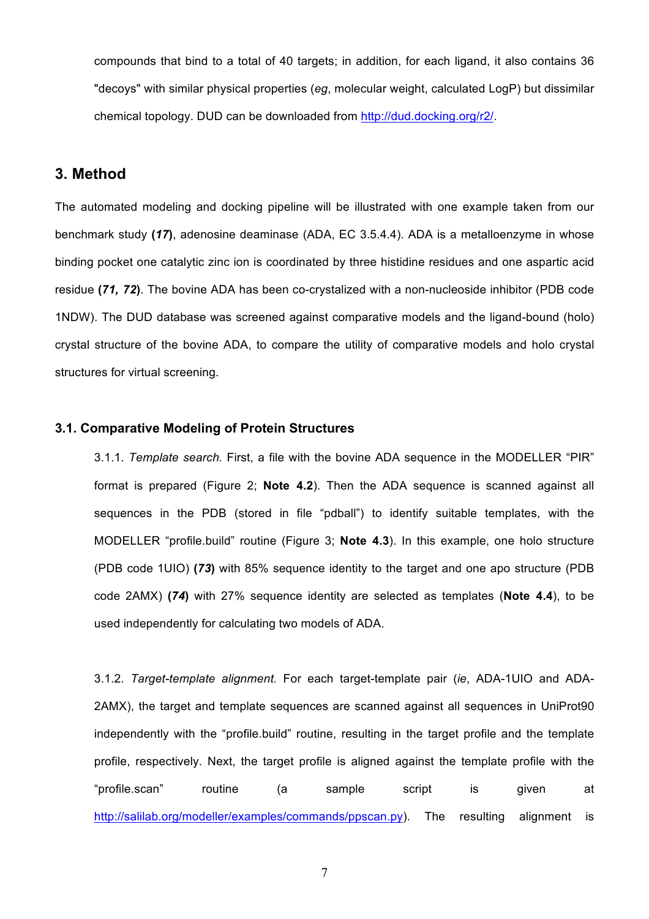compounds that bind to a total of 40 targets; in addition, for each ligand, it also contains 36 "decoys" with similar physical properties (*eg*, molecular weight, calculated LogP) but dissimilar chemical topology. DUD can be downloaded from http://dud.docking.org/r2/.

## **3. Method**

The automated modeling and docking pipeline will be illustrated with one example taken from our benchmark study **(***17***)**, adenosine deaminase (ADA, EC 3.5.4.4). ADA is a metalloenzyme in whose binding pocket one catalytic zinc ion is coordinated by three histidine residues and one aspartic acid residue **(***71, 72***)**. The bovine ADA has been co-crystalized with a non-nucleoside inhibitor (PDB code 1NDW). The DUD database was screened against comparative models and the ligand-bound (holo) crystal structure of the bovine ADA, to compare the utility of comparative models and holo crystal structures for virtual screening.

#### **3.1. Comparative Modeling of Protein Structures**

3.1.1. *Template search.* First, a file with the bovine ADA sequence in the MODELLER "PIR" format is prepared (Figure 2; **Note 4.2**). Then the ADA sequence is scanned against all sequences in the PDB (stored in file "pdball") to identify suitable templates, with the MODELLER "profile.build" routine (Figure 3; **Note 4.3**). In this example, one holo structure (PDB code 1UIO) **(***73***)** with 85% sequence identity to the target and one apo structure (PDB code 2AMX) **(***74***)** with 27% sequence identity are selected as templates (**Note 4.4**), to be used independently for calculating two models of ADA.

3.1.2. *Target-template alignment.* For each target-template pair (*ie*, ADA-1UIO and ADA-2AMX), the target and template sequences are scanned against all sequences in UniProt90 independently with the "profile.build" routine, resulting in the target profile and the template profile, respectively. Next, the target profile is aligned against the template profile with the "profile.scan" routine (a sample script is given at http://salilab.org/modeller/examples/commands/ppscan.py). The resulting alignment is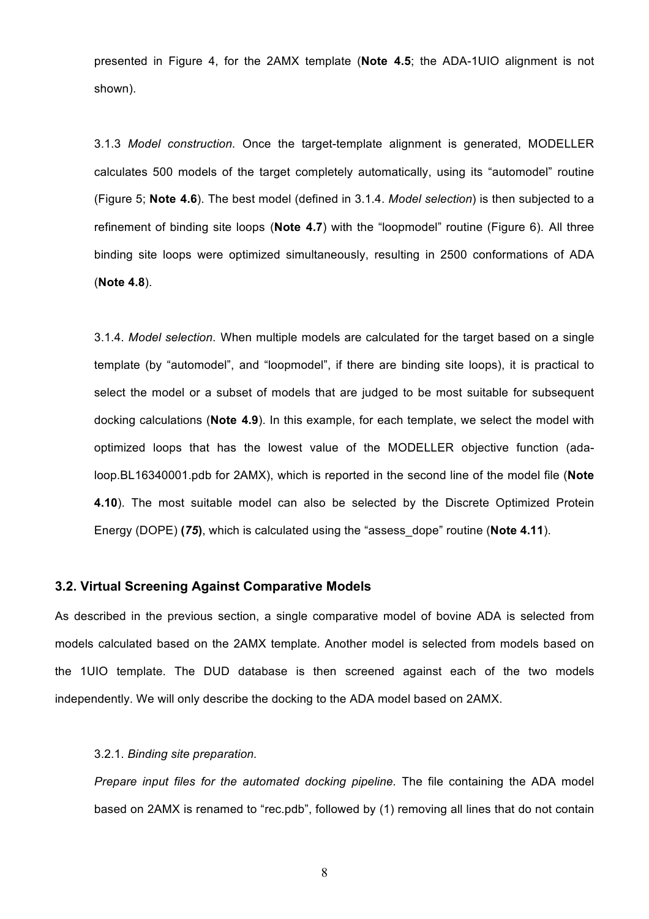presented in Figure 4, for the 2AMX template (**Note 4.5**; the ADA-1UIO alignment is not shown).

3.1.3 *Model construction.* Once the target-template alignment is generated, MODELLER calculates 500 models of the target completely automatically, using its "automodel" routine (Figure 5; **Note 4.6**). The best model (defined in 3.1.4. *Model selection*) is then subjected to a refinement of binding site loops (**Note 4.7**) with the "loopmodel" routine (Figure 6). All three binding site loops were optimized simultaneously, resulting in 2500 conformations of ADA (**Note 4.8**).

3.1.4. *Model selection*. When multiple models are calculated for the target based on a single template (by "automodel", and "loopmodel", if there are binding site loops), it is practical to select the model or a subset of models that are judged to be most suitable for subsequent docking calculations (**Note 4.9**). In this example, for each template, we select the model with optimized loops that has the lowest value of the MODELLER objective function (adaloop.BL16340001.pdb for 2AMX), which is reported in the second line of the model file (**Note 4.10**). The most suitable model can also be selected by the Discrete Optimized Protein Energy (DOPE) **(***75***)**, which is calculated using the "assess\_dope" routine (**Note 4.11**).

#### **3.2. Virtual Screening Against Comparative Models**

As described in the previous section, a single comparative model of bovine ADA is selected from models calculated based on the 2AMX template. Another model is selected from models based on the 1UIO template. The DUD database is then screened against each of the two models independently. We will only describe the docking to the ADA model based on 2AMX.

#### 3.2.1. *Binding site preparation.*

*Prepare input files for the automated docking pipeline.* The file containing the ADA model based on 2AMX is renamed to "rec.pdb", followed by (1) removing all lines that do not contain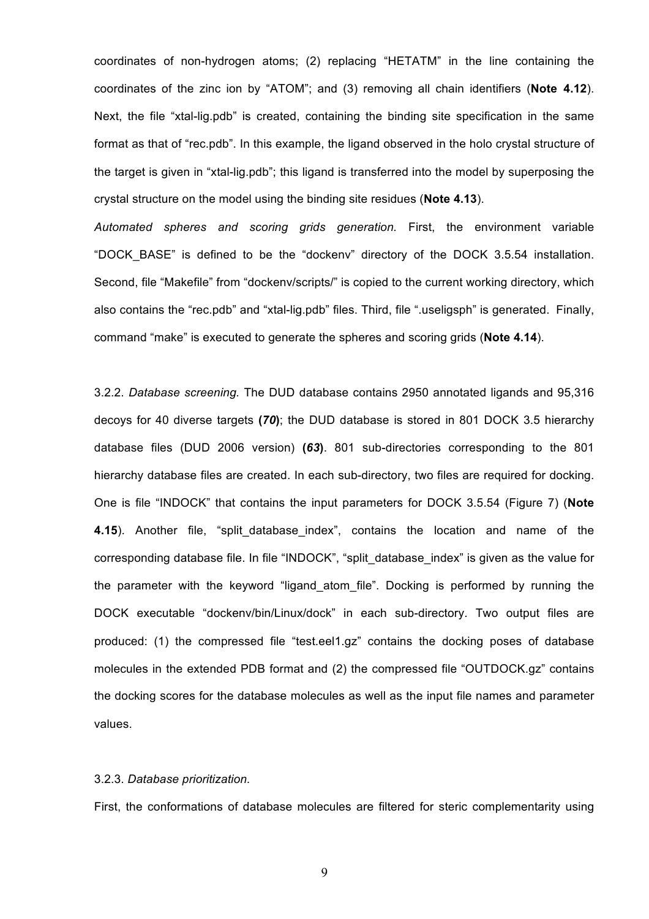coordinates of non-hydrogen atoms; (2) replacing "HETATM" in the line containing the coordinates of the zinc ion by "ATOM"; and (3) removing all chain identifiers (**Note 4.12**). Next, the file "xtal-lig.pdb" is created, containing the binding site specification in the same format as that of "rec.pdb". In this example, the ligand observed in the holo crystal structure of the target is given in "xtal-lig.pdb"; this ligand is transferred into the model by superposing the crystal structure on the model using the binding site residues (**Note 4.13**).

*Automated spheres and scoring grids generation.* First, the environment variable "DOCK\_BASE" is defined to be the "dockenv" directory of the DOCK 3.5.54 installation. Second, file "Makefile" from "dockenv/scripts/" is copied to the current working directory, which also contains the "rec.pdb" and "xtal-lig.pdb" files. Third, file ".useligsph" is generated. Finally, command "make" is executed to generate the spheres and scoring grids (**Note 4.14**).

3.2.2. *Database screening.* The DUD database contains 2950 annotated ligands and 95,316 decoys for 40 diverse targets **(***70***)**; the DUD database is stored in 801 DOCK 3.5 hierarchy database files (DUD 2006 version) **(***63***)**. 801 sub-directories corresponding to the 801 hierarchy database files are created. In each sub-directory, two files are required for docking. One is file "INDOCK" that contains the input parameters for DOCK 3.5.54 (Figure 7) (**Note 4.15**). Another file, "split\_database\_index", contains the location and name of the corresponding database file. In file "INDOCK", "split\_database\_index" is given as the value for the parameter with the keyword "ligand atom file". Docking is performed by running the DOCK executable "dockenv/bin/Linux/dock" in each sub-directory. Two output files are produced: (1) the compressed file "test.eel1.gz" contains the docking poses of database molecules in the extended PDB format and (2) the compressed file "OUTDOCK.gz" contains the docking scores for the database molecules as well as the input file names and parameter values.

#### 3.2.3. *Database prioritization.*

First, the conformations of database molecules are filtered for steric complementarity using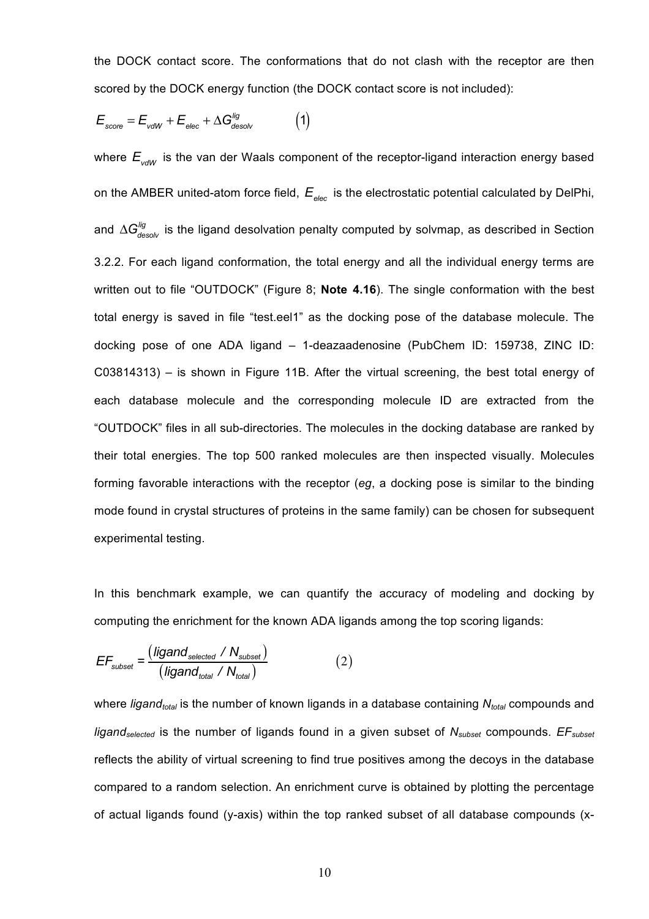the DOCK contact score. The conformations that do not clash with the receptor are then scored by the DOCK energy function (the DOCK contact score is not included):

$$
E_{\text{score}} = E_{\text{vdW}} + E_{\text{elec}} + \Delta G_{\text{desolv}}^{\text{lig}} \tag{1}
$$

where  $E_{\text{vddV}}$  is the van der Waals component of the receptor-ligand interaction energy based on the AMBER united-atom force field,  $E_{\text{elec}}$  is the electrostatic potential calculated by DelPhi, and  $\Delta G_{\it desolv}^{\it lig}$  is the ligand desolvation penalty computed by solvmap, as described in Section 3.2.2. For each ligand conformation, the total energy and all the individual energy terms are written out to file "OUTDOCK" (Figure 8; **Note 4.16**). The single conformation with the best total energy is saved in file "test.eel1" as the docking pose of the database molecule. The docking pose of one ADA ligand – 1-deazaadenosine (PubChem ID: 159738, ZINC ID: C03814313) – is shown in Figure 11B. After the virtual screening, the best total energy of each database molecule and the corresponding molecule ID are extracted from the "OUTDOCK" files in all sub-directories. The molecules in the docking database are ranked by their total energies. The top 500 ranked molecules are then inspected visually. Molecules forming favorable interactions with the receptor (*eg*, a docking pose is similar to the binding mode found in crystal structures of proteins in the same family) can be chosen for subsequent experimental testing.

In this benchmark example, we can quantify the accuracy of modeling and docking by computing the enrichment for the known ADA ligands among the top scoring ligands:

$$
EF_{\text{subset}} = \frac{(\text{ligand}_{\text{selected}} / N_{\text{subset}})}{(\text{ligand}_{\text{total}} / N_{\text{total}})}
$$
(2)

where *ligand<sub>total</sub>* is the number of known ligands in a database containing  $N_{total}$  compounds and *ligandselected* is the number of ligands found in a given subset of *Nsubset* compounds. *EFsubset* reflects the ability of virtual screening to find true positives among the decoys in the database compared to a random selection. An enrichment curve is obtained by plotting the percentage of actual ligands found (y-axis) within the top ranked subset of all database compounds (x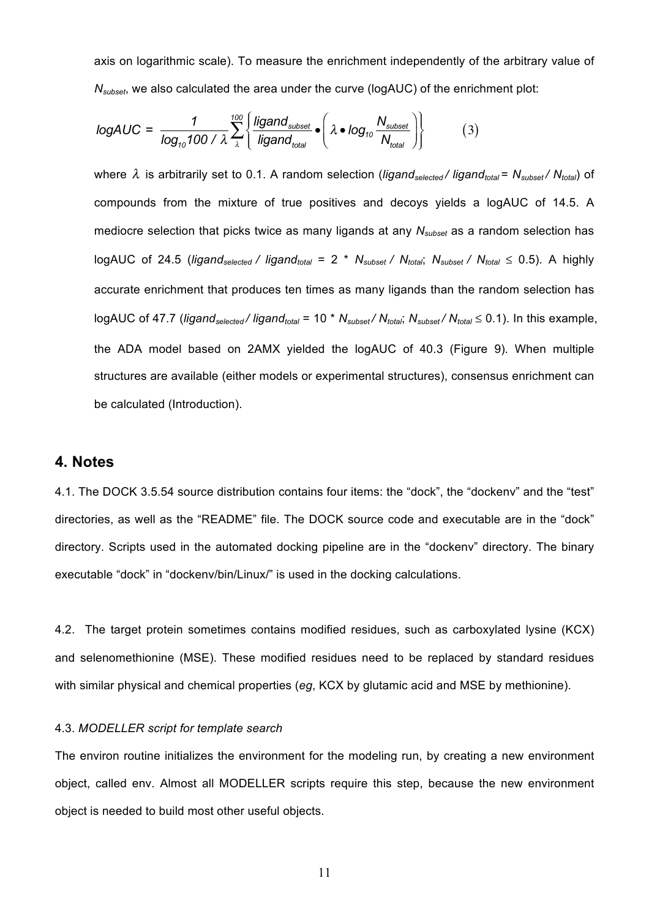axis on logarithmic scale). To measure the enrichment independently of the arbitrary value of *N<sub>subset</sub>*, we also calculated the area under the curve (logAUC) of the enrichment plot:

$$
logAUC = \frac{1}{log_{10}100 / \lambda} \sum_{\lambda}^{100} \left\{ \frac{ligand_{subset}}{ligand_{total}} \cdot \left( \lambda \cdot log_{10} \frac{N_{subset}}{N_{total}} \right) \right\}
$$
(3)

where  $\lambda$  is arbitrarily set to 0.1. A random selection (*ligand<sub>selected</sub>* / *ligand<sub>total</sub>* =  $N_{\text{subset}}/ N_{\text{total}}$ ) of compounds from the mixture of true positives and decoys yields a logAUC of 14.5. A mediocre selection that picks twice as many ligands at any *Nsubset* as a random selection has logAUC of 24.5 (*ligand<sub>selected</sub> / ligand<sub>total</sub>* = 2 \* *N<sub>subset</sub> / N<sub>total</sub>; N<sub>subset</sub> / N<sub>total</sub>* ≤ 0.5). A highly accurate enrichment that produces ten times as many ligands than the random selection has logAUC of 47.7 (*ligandselected / ligandtotal* = 10 \* *Nsubset / Ntotal*; *Nsubset / Ntotal* ≤ 0.1). In this example, the ADA model based on 2AMX yielded the logAUC of 40.3 (Figure 9). When multiple structures are available (either models or experimental structures), consensus enrichment can be calculated (Introduction).

### **4. Notes**

4.1. The DOCK 3.5.54 source distribution contains four items: the "dock", the "dockenv" and the "test" directories, as well as the "README" file. The DOCK source code and executable are in the "dock" directory. Scripts used in the automated docking pipeline are in the "dockenv" directory. The binary executable "dock" in "dockenv/bin/Linux/" is used in the docking calculations.

4.2. The target protein sometimes contains modified residues, such as carboxylated lysine (KCX) and selenomethionine (MSE). These modified residues need to be replaced by standard residues with similar physical and chemical properties (*eg*, KCX by glutamic acid and MSE by methionine).

#### 4.3. *MODELLER script for template search*

The environ routine initializes the environment for the modeling run, by creating a new environment object, called env. Almost all MODELLER scripts require this step, because the new environment object is needed to build most other useful objects.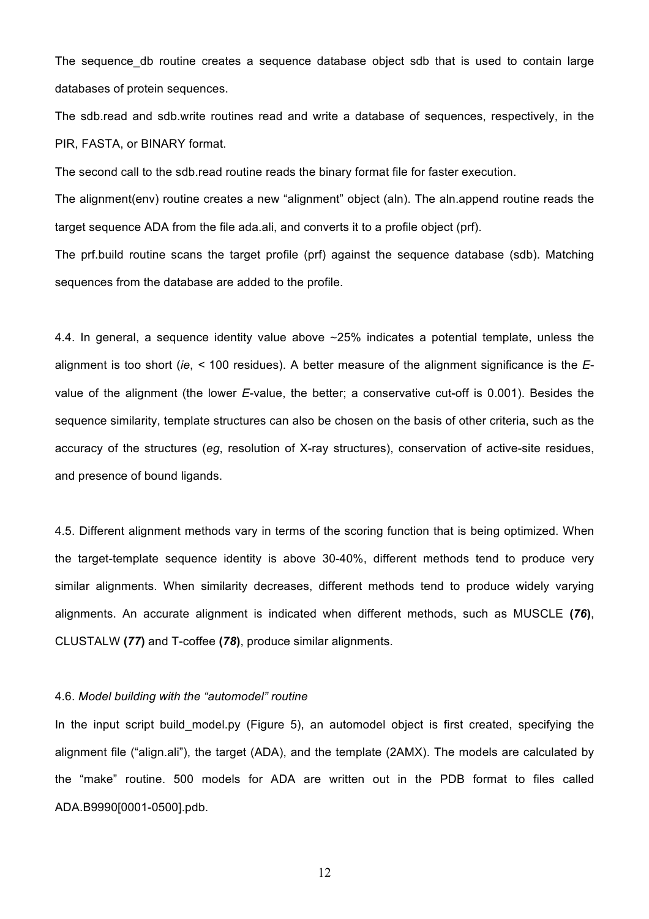The sequence db routine creates a sequence database object sdb that is used to contain large databases of protein sequences.

The sdb.read and sdb.write routines read and write a database of sequences, respectively, in the PIR, FASTA, or BINARY format.

The second call to the sdb.read routine reads the binary format file for faster execution.

The alignment(env) routine creates a new "alignment" object (aln). The aln.append routine reads the target sequence ADA from the file ada.ali, and converts it to a profile object (prf).

The prf.build routine scans the target profile (prf) against the sequence database (sdb). Matching sequences from the database are added to the profile.

4.4. In general, a sequence identity value above ∼25% indicates a potential template, unless the alignment is too short (*ie*, *<* 100 residues). A better measure of the alignment significance is the *E*value of the alignment (the lower *E*-value, the better; a conservative cut-off is 0.001). Besides the sequence similarity, template structures can also be chosen on the basis of other criteria, such as the accuracy of the structures (*eg*, resolution of X-ray structures), conservation of active-site residues, and presence of bound ligands.

4.5. Different alignment methods vary in terms of the scoring function that is being optimized. When the target-template sequence identity is above 30-40%, different methods tend to produce very similar alignments. When similarity decreases, different methods tend to produce widely varying alignments. An accurate alignment is indicated when different methods, such as MUSCLE **(***76***)**, CLUSTALW **(***77***)** and T-coffee **(***78***)**, produce similar alignments.

#### 4.6. *Model building with the "automodel" routine*

In the input script build model.py (Figure 5), an automodel object is first created, specifying the alignment file ("align.ali"), the target (ADA), and the template (2AMX). The models are calculated by the "make" routine. 500 models for ADA are written out in the PDB format to files called ADA.B9990[0001-0500].pdb.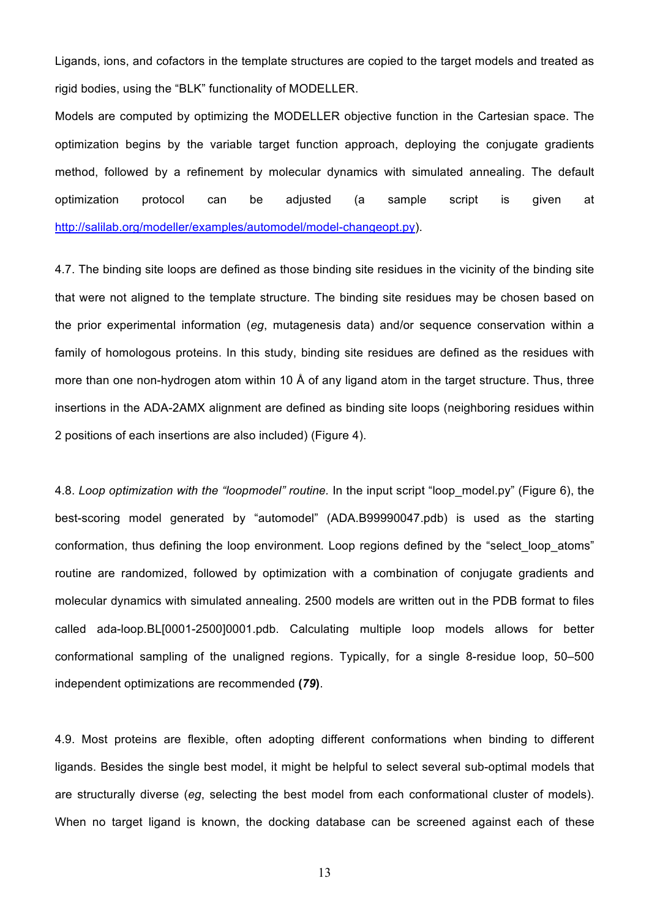Ligands, ions, and cofactors in the template structures are copied to the target models and treated as rigid bodies, using the "BLK" functionality of MODELLER.

Models are computed by optimizing the MODELLER objective function in the Cartesian space. The optimization begins by the variable target function approach, deploying the conjugate gradients method, followed by a refinement by molecular dynamics with simulated annealing. The default optimization protocol can be adjusted (a sample script is given at http://salilab.org/modeller/examples/automodel/model-changeopt.py).

4.7. The binding site loops are defined as those binding site residues in the vicinity of the binding site that were not aligned to the template structure. The binding site residues may be chosen based on the prior experimental information (*eg*, mutagenesis data) and/or sequence conservation within a family of homologous proteins. In this study, binding site residues are defined as the residues with more than one non-hydrogen atom within 10 Å of any ligand atom in the target structure. Thus, three insertions in the ADA-2AMX alignment are defined as binding site loops (neighboring residues within 2 positions of each insertions are also included) (Figure 4).

4.8. *Loop optimization with the "loopmodel" routine.* In the input script "loop\_model.py" (Figure 6), the best-scoring model generated by "automodel" (ADA.B99990047.pdb) is used as the starting conformation, thus defining the loop environment. Loop regions defined by the "select loop atoms" routine are randomized, followed by optimization with a combination of conjugate gradients and molecular dynamics with simulated annealing. 2500 models are written out in the PDB format to files called ada-loop.BL[0001-2500]0001.pdb. Calculating multiple loop models allows for better conformational sampling of the unaligned regions. Typically, for a single 8-residue loop, 50–500 independent optimizations are recommended **(***79***)**.

4.9. Most proteins are flexible, often adopting different conformations when binding to different ligands. Besides the single best model, it might be helpful to select several sub-optimal models that are structurally diverse (*eg*, selecting the best model from each conformational cluster of models). When no target ligand is known, the docking database can be screened against each of these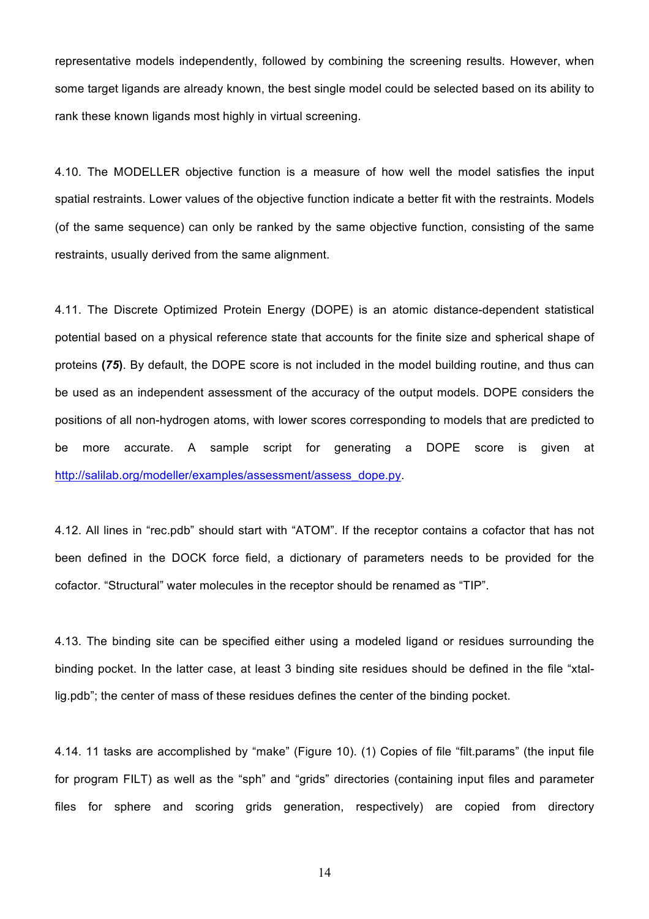representative models independently, followed by combining the screening results. However, when some target ligands are already known, the best single model could be selected based on its ability to rank these known ligands most highly in virtual screening.

4.10. The MODELLER objective function is a measure of how well the model satisfies the input spatial restraints. Lower values of the objective function indicate a better fit with the restraints. Models (of the same sequence) can only be ranked by the same objective function, consisting of the same restraints, usually derived from the same alignment.

4.11. The Discrete Optimized Protein Energy (DOPE) is an atomic distance-dependent statistical potential based on a physical reference state that accounts for the finite size and spherical shape of proteins **(***75***)**. By default, the DOPE score is not included in the model building routine, and thus can be used as an independent assessment of the accuracy of the output models. DOPE considers the positions of all non-hydrogen atoms, with lower scores corresponding to models that are predicted to be more accurate. A sample script for generating a DOPE score is given at http://salilab.org/modeller/examples/assessment/assess\_dope.py.

4.12. All lines in "rec.pdb" should start with "ATOM". If the receptor contains a cofactor that has not been defined in the DOCK force field, a dictionary of parameters needs to be provided for the cofactor. "Structural" water molecules in the receptor should be renamed as "TIP".

4.13. The binding site can be specified either using a modeled ligand or residues surrounding the binding pocket. In the latter case, at least 3 binding site residues should be defined in the file "xtallig.pdb"; the center of mass of these residues defines the center of the binding pocket.

4.14. 11 tasks are accomplished by "make" (Figure 10). (1) Copies of file "filt.params" (the input file for program FILT) as well as the "sph" and "grids" directories (containing input files and parameter files for sphere and scoring grids generation, respectively) are copied from directory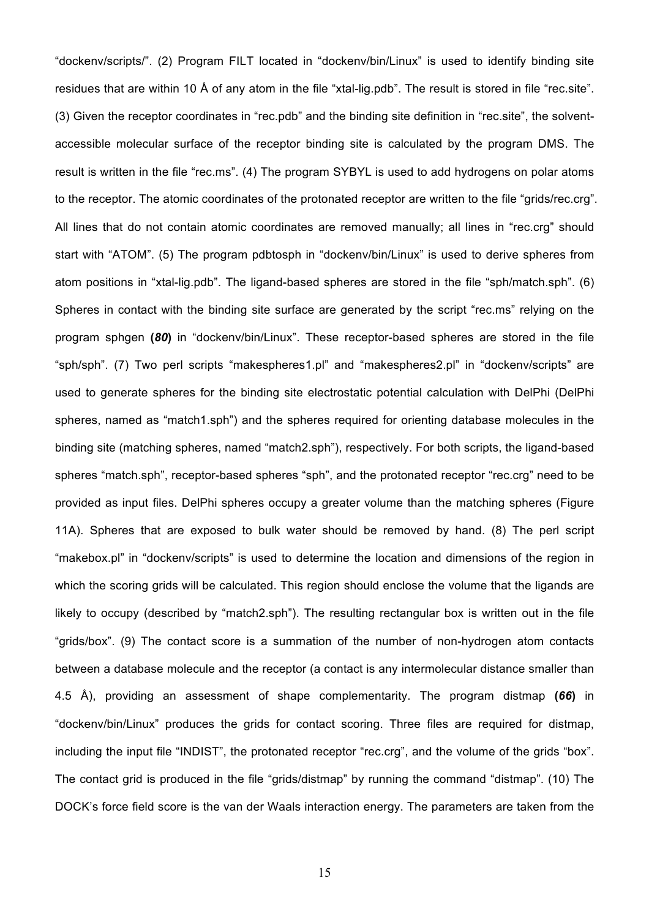"dockenv/scripts/". (2) Program FILT located in "dockenv/bin/Linux" is used to identify binding site residues that are within 10 Å of any atom in the file "xtal-lig.pdb". The result is stored in file "rec.site". (3) Given the receptor coordinates in "rec.pdb" and the binding site definition in "rec.site", the solventaccessible molecular surface of the receptor binding site is calculated by the program DMS. The result is written in the file "rec.ms". (4) The program SYBYL is used to add hydrogens on polar atoms to the receptor. The atomic coordinates of the protonated receptor are written to the file "grids/rec.crg". All lines that do not contain atomic coordinates are removed manually; all lines in "rec.crg" should start with "ATOM". (5) The program pdbtosph in "dockenv/bin/Linux" is used to derive spheres from atom positions in "xtal-lig.pdb". The ligand-based spheres are stored in the file "sph/match.sph". (6) Spheres in contact with the binding site surface are generated by the script "rec.ms" relying on the program sphgen **(***80***)** in "dockenv/bin/Linux". These receptor-based spheres are stored in the file "sph/sph". (7) Two perl scripts "makespheres1.pl" and "makespheres2.pl" in "dockenv/scripts" are used to generate spheres for the binding site electrostatic potential calculation with DelPhi (DelPhi spheres, named as "match1.sph") and the spheres required for orienting database molecules in the binding site (matching spheres, named "match2.sph"), respectively. For both scripts, the ligand-based spheres "match.sph", receptor-based spheres "sph", and the protonated receptor "rec.crg" need to be provided as input files. DelPhi spheres occupy a greater volume than the matching spheres (Figure 11A). Spheres that are exposed to bulk water should be removed by hand. (8) The perl script "makebox.pl" in "dockenv/scripts" is used to determine the location and dimensions of the region in which the scoring grids will be calculated. This region should enclose the volume that the ligands are likely to occupy (described by "match2.sph"). The resulting rectangular box is written out in the file "grids/box". (9) The contact score is a summation of the number of non-hydrogen atom contacts between a database molecule and the receptor (a contact is any intermolecular distance smaller than 4.5 Å), providing an assessment of shape complementarity. The program distmap **(***66***)** in "dockenv/bin/Linux" produces the grids for contact scoring. Three files are required for distmap, including the input file "INDIST", the protonated receptor "rec.crg", and the volume of the grids "box". The contact grid is produced in the file "grids/distmap" by running the command "distmap". (10) The DOCK's force field score is the van der Waals interaction energy. The parameters are taken from the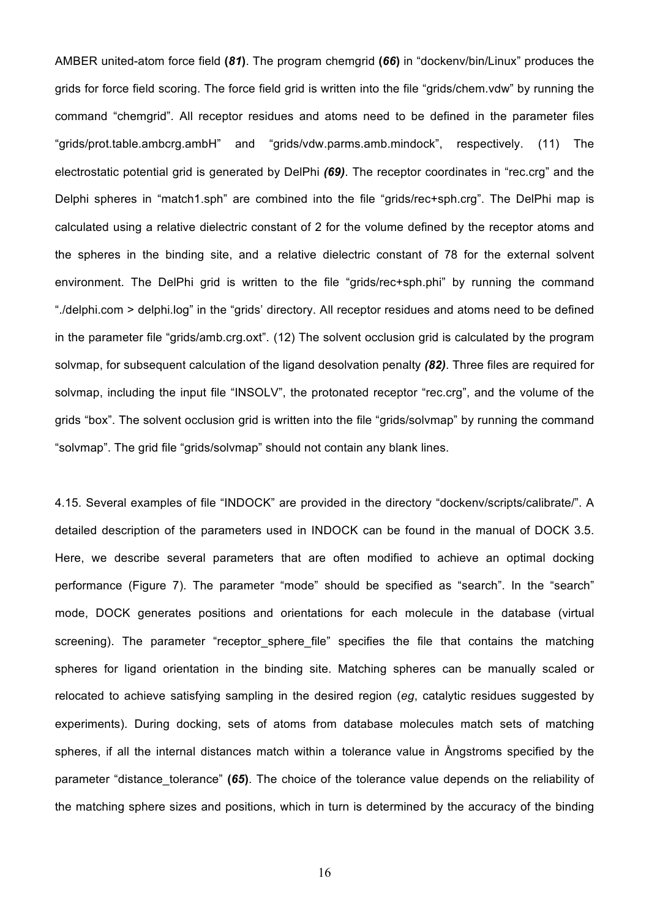AMBER united-atom force field **(***81***)**. The program chemgrid **(***66***)** in "dockenv/bin/Linux" produces the grids for force field scoring. The force field grid is written into the file "grids/chem.vdw" by running the command "chemgrid". All receptor residues and atoms need to be defined in the parameter files "grids/prot.table.ambcrg.ambH" and "grids/vdw.parms.amb.mindock", respectively. (11) The electrostatic potential grid is generated by DelPhi *(69)*. The receptor coordinates in "rec.crg" and the Delphi spheres in "match1.sph" are combined into the file "grids/rec+sph.crg". The DelPhi map is calculated using a relative dielectric constant of 2 for the volume defined by the receptor atoms and the spheres in the binding site, and a relative dielectric constant of 78 for the external solvent environment. The DelPhi grid is written to the file "grids/rec+sph.phi" by running the command "./delphi.com > delphi.log" in the "grids' directory. All receptor residues and atoms need to be defined in the parameter file "grids/amb.crg.oxt". (12) The solvent occlusion grid is calculated by the program solvmap, for subsequent calculation of the ligand desolvation penalty *(82)*. Three files are required for solvmap, including the input file "INSOLV", the protonated receptor "rec.crg", and the volume of the grids "box". The solvent occlusion grid is written into the file "grids/solvmap" by running the command "solvmap". The grid file "grids/solvmap" should not contain any blank lines.

4.15. Several examples of file "INDOCK" are provided in the directory "dockenv/scripts/calibrate/". A detailed description of the parameters used in INDOCK can be found in the manual of DOCK 3.5. Here, we describe several parameters that are often modified to achieve an optimal docking performance (Figure 7). The parameter "mode" should be specified as "search". In the "search" mode, DOCK generates positions and orientations for each molecule in the database (virtual screening). The parameter "receptor sphere file" specifies the file that contains the matching spheres for ligand orientation in the binding site. Matching spheres can be manually scaled or relocated to achieve satisfying sampling in the desired region (*eg*, catalytic residues suggested by experiments). During docking, sets of atoms from database molecules match sets of matching spheres, if all the internal distances match within a tolerance value in Ångstroms specified by the parameter "distance tolerance" (65). The choice of the tolerance value depends on the reliability of the matching sphere sizes and positions, which in turn is determined by the accuracy of the binding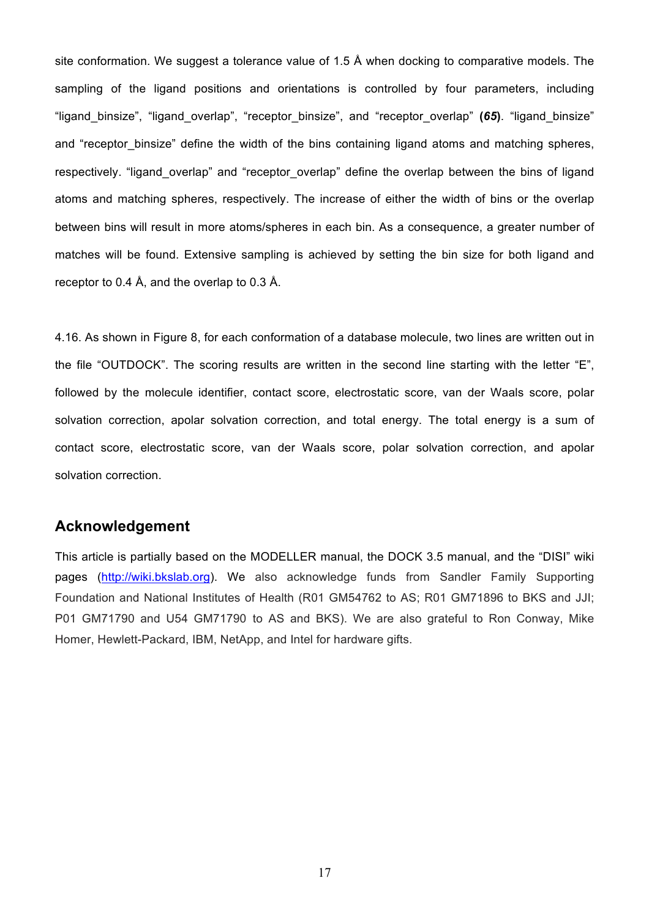site conformation. We suggest a tolerance value of 1.5 Å when docking to comparative models. The sampling of the ligand positions and orientations is controlled by four parameters, including "ligand\_binsize", "ligand\_overlap", "receptor\_binsize", and "receptor\_overlap" **(***65***)**. "ligand\_binsize" and "receptor binsize" define the width of the bins containing ligand atoms and matching spheres, respectively. "ligand overlap" and "receptor overlap" define the overlap between the bins of ligand atoms and matching spheres, respectively. The increase of either the width of bins or the overlap between bins will result in more atoms/spheres in each bin. As a consequence, a greater number of matches will be found. Extensive sampling is achieved by setting the bin size for both ligand and receptor to 0.4 Å, and the overlap to 0.3 Å.

4.16. As shown in Figure 8, for each conformation of a database molecule, two lines are written out in the file "OUTDOCK". The scoring results are written in the second line starting with the letter "E", followed by the molecule identifier, contact score, electrostatic score, van der Waals score, polar solvation correction, apolar solvation correction, and total energy. The total energy is a sum of contact score, electrostatic score, van der Waals score, polar solvation correction, and apolar solvation correction.

### **Acknowledgement**

This article is partially based on the MODELLER manual, the DOCK 3.5 manual, and the "DISI" wiki pages (http://wiki.bkslab.org). We also acknowledge funds from Sandler Family Supporting Foundation and National Institutes of Health (R01 GM54762 to AS; R01 GM71896 to BKS and JJI; P01 GM71790 and U54 GM71790 to AS and BKS). We are also grateful to Ron Conway, Mike Homer, Hewlett-Packard, IBM, NetApp, and Intel for hardware gifts.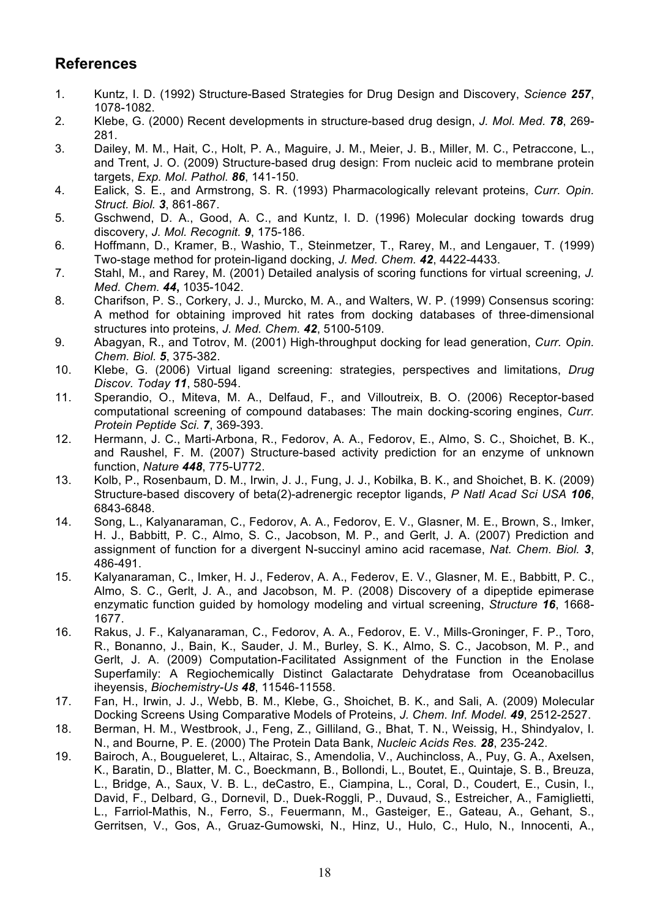# **References**

- 1. Kuntz, I. D. (1992) Structure-Based Strategies for Drug Design and Discovery, *Science 257*, 1078-1082.
- 2. Klebe, G. (2000) Recent developments in structure-based drug design, *J. Mol. Med. 78*, 269- 281.
- 3. Dailey, M. M., Hait, C., Holt, P. A., Maguire, J. M., Meier, J. B., Miller, M. C., Petraccone, L., and Trent, J. O. (2009) Structure-based drug design: From nucleic acid to membrane protein targets, *Exp. Mol. Pathol. 86*, 141-150.
- 4. Ealick, S. E., and Armstrong, S. R. (1993) Pharmacologically relevant proteins, *Curr. Opin. Struct. Biol. 3*, 861-867.
- 5. Gschwend, D. A., Good, A. C., and Kuntz, I. D. (1996) Molecular docking towards drug discovery, *J. Mol. Recognit. 9*, 175-186.
- 6. Hoffmann, D., Kramer, B., Washio, T., Steinmetzer, T., Rarey, M., and Lengauer, T. (1999) Two-stage method for protein-ligand docking, *J. Med. Chem. 42*, 4422-4433.
- 7. Stahl, M., and Rarey, M. (2001) Detailed analysis of scoring functions for virtual screening, *J. Med. Chem. 44***,** 1035-1042.
- 8. Charifson, P. S., Corkery, J. J., Murcko, M. A., and Walters, W. P. (1999) Consensus scoring: A method for obtaining improved hit rates from docking databases of three-dimensional structures into proteins, *J. Med. Chem. 42*, 5100-5109.
- 9. Abagyan, R., and Totrov, M. (2001) High-throughput docking for lead generation, *Curr. Opin. Chem. Biol. 5*, 375-382.
- 10. Klebe, G. (2006) Virtual ligand screening: strategies, perspectives and limitations, *Drug Discov. Today 11*, 580-594.
- 11. Sperandio, O., Miteva, M. A., Delfaud, F., and Villoutreix, B. O. (2006) Receptor-based computational screening of compound databases: The main docking-scoring engines, *Curr. Protein Peptide Sci. 7*, 369-393.
- 12. Hermann, J. C., Marti-Arbona, R., Fedorov, A. A., Fedorov, E., Almo, S. C., Shoichet, B. K., and Raushel, F. M. (2007) Structure-based activity prediction for an enzyme of unknown function, *Nature 448*, 775-U772.
- 13. Kolb, P., Rosenbaum, D. M., Irwin, J. J., Fung, J. J., Kobilka, B. K., and Shoichet, B. K. (2009) Structure-based discovery of beta(2)-adrenergic receptor ligands, *P Natl Acad Sci USA 106*, 6843-6848.
- 14. Song, L., Kalyanaraman, C., Fedorov, A. A., Fedorov, E. V., Glasner, M. E., Brown, S., Imker, H. J., Babbitt, P. C., Almo, S. C., Jacobson, M. P., and Gerlt, J. A. (2007) Prediction and assignment of function for a divergent N-succinyl amino acid racemase, *Nat. Chem. Biol. 3*, 486-491.
- 15. Kalyanaraman, C., Imker, H. J., Federov, A. A., Federov, E. V., Glasner, M. E., Babbitt, P. C., Almo, S. C., Gerlt, J. A., and Jacobson, M. P. (2008) Discovery of a dipeptide epimerase enzymatic function guided by homology modeling and virtual screening, *Structure 16*, 1668- 1677.
- 16. Rakus, J. F., Kalyanaraman, C., Fedorov, A. A., Fedorov, E. V., Mills-Groninger, F. P., Toro, R., Bonanno, J., Bain, K., Sauder, J. M., Burley, S. K., Almo, S. C., Jacobson, M. P., and Gerlt, J. A. (2009) Computation-Facilitated Assignment of the Function in the Enolase Superfamily: A Regiochemically Distinct Galactarate Dehydratase from Oceanobacillus iheyensis, *Biochemistry-Us 48*, 11546-11558.
- 17. Fan, H., Irwin, J. J., Webb, B. M., Klebe, G., Shoichet, B. K., and Sali, A. (2009) Molecular Docking Screens Using Comparative Models of Proteins, *J. Chem. Inf. Model. 49*, 2512-2527.
- 18. Berman, H. M., Westbrook, J., Feng, Z., Gilliland, G., Bhat, T. N., Weissig, H., Shindyalov, I. N., and Bourne, P. E. (2000) The Protein Data Bank, *Nucleic Acids Res. 28*, 235-242.
- 19. Bairoch, A., Bougueleret, L., Altairac, S., Amendolia, V., Auchincloss, A., Puy, G. A., Axelsen, K., Baratin, D., Blatter, M. C., Boeckmann, B., Bollondi, L., Boutet, E., Quintaje, S. B., Breuza, L., Bridge, A., Saux, V. B. L., deCastro, E., Ciampina, L., Coral, D., Coudert, E., Cusin, I., David, F., Delbard, G., Dornevil, D., Duek-Roggli, P., Duvaud, S., Estreicher, A., Famiglietti, L., Farriol-Mathis, N., Ferro, S., Feuermann, M., Gasteiger, E., Gateau, A., Gehant, S., Gerritsen, V., Gos, A., Gruaz-Gumowski, N., Hinz, U., Hulo, C., Hulo, N., Innocenti, A.,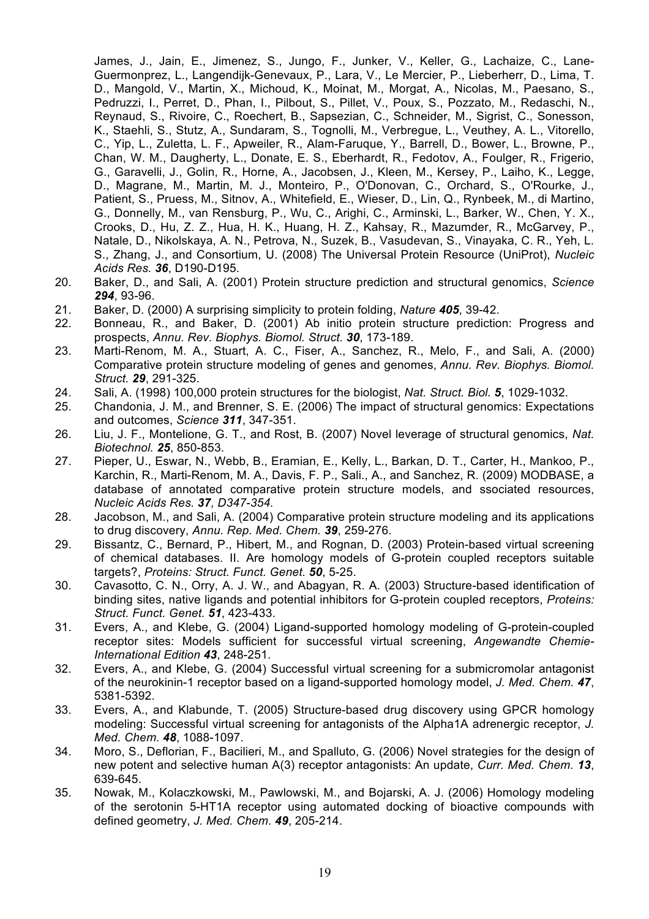James, J., Jain, E., Jimenez, S., Jungo, F., Junker, V., Keller, G., Lachaize, C., Lane-Guermonprez, L., Langendijk-Genevaux, P., Lara, V., Le Mercier, P., Lieberherr, D., Lima, T. D., Mangold, V., Martin, X., Michoud, K., Moinat, M., Morgat, A., Nicolas, M., Paesano, S., Pedruzzi, I., Perret, D., Phan, I., Pilbout, S., Pillet, V., Poux, S., Pozzato, M., Redaschi, N., Reynaud, S., Rivoire, C., Roechert, B., Sapsezian, C., Schneider, M., Sigrist, C., Sonesson, K., Staehli, S., Stutz, A., Sundaram, S., Tognolli, M., Verbregue, L., Veuthey, A. L., Vitorello, C., Yip, L., Zuletta, L. F., Apweiler, R., Alam-Faruque, Y., Barrell, D., Bower, L., Browne, P., Chan, W. M., Daugherty, L., Donate, E. S., Eberhardt, R., Fedotov, A., Foulger, R., Frigerio, G., Garavelli, J., Golin, R., Horne, A., Jacobsen, J., Kleen, M., Kersey, P., Laiho, K., Legge, D., Magrane, M., Martin, M. J., Monteiro, P., O'Donovan, C., Orchard, S., O'Rourke, J., Patient, S., Pruess, M., Sitnov, A., Whitefield, E., Wieser, D., Lin, Q., Rynbeek, M., di Martino, G., Donnelly, M., van Rensburg, P., Wu, C., Arighi, C., Arminski, L., Barker, W., Chen, Y. X., Crooks, D., Hu, Z. Z., Hua, H. K., Huang, H. Z., Kahsay, R., Mazumder, R., McGarvey, P., Natale, D., Nikolskaya, A. N., Petrova, N., Suzek, B., Vasudevan, S., Vinayaka, C. R., Yeh, L. S., Zhang, J., and Consortium, U. (2008) The Universal Protein Resource (UniProt), *Nucleic Acids Res. 36*, D190-D195.

- 20. Baker, D., and Sali, A. (2001) Protein structure prediction and structural genomics, *Science 294*, 93-96.
- 21. Baker, D. (2000) A surprising simplicity to protein folding, *Nature 405*, 39-42.
- 22. Bonneau, R., and Baker, D. (2001) Ab initio protein structure prediction: Progress and prospects, *Annu. Rev. Biophys. Biomol. Struct. 30*, 173-189.
- 23. Marti-Renom, M. A., Stuart, A. C., Fiser, A., Sanchez, R., Melo, F., and Sali, A. (2000) Comparative protein structure modeling of genes and genomes, *Annu. Rev. Biophys. Biomol. Struct. 29*, 291-325.
- 24. Sali, A. (1998) 100,000 protein structures for the biologist, *Nat. Struct. Biol. 5*, 1029-1032.
- 25. Chandonia, J. M., and Brenner, S. E. (2006) The impact of structural genomics: Expectations and outcomes, *Science 311*, 347-351.
- 26. Liu, J. F., Montelione, G. T., and Rost, B. (2007) Novel leverage of structural genomics, *Nat. Biotechnol. 25*, 850-853.
- 27. Pieper, U., Eswar, N., Webb, B., Eramian, E., Kelly, L., Barkan, D. T., Carter, H., Mankoo, P., Karchin, R., Marti-Renom, M. A., Davis, F. P., Sali., A., and Sanchez, R. (2009) MODBASE, a database of annotated comparative protein structure models, and ssociated resources, *Nucleic Acids Res. 37, D347-354.*
- 28. Jacobson, M., and Sali, A. (2004) Comparative protein structure modeling and its applications to drug discovery, *Annu. Rep. Med. Chem. 39*, 259-276.
- 29. Bissantz, C., Bernard, P., Hibert, M., and Rognan, D. (2003) Protein-based virtual screening of chemical databases. II. Are homology models of G-protein coupled receptors suitable targets?, *Proteins: Struct. Funct. Genet. 50*, 5-25.
- 30. Cavasotto, C. N., Orry, A. J. W., and Abagyan, R. A. (2003) Structure-based identification of binding sites, native ligands and potential inhibitors for G-protein coupled receptors, *Proteins: Struct. Funct. Genet. 51*, 423-433.
- 31. Evers, A., and Klebe, G. (2004) Ligand-supported homology modeling of G-protein-coupled receptor sites: Models sufficient for successful virtual screening, *Angewandte Chemie-International Edition 43*, 248-251.
- 32. Evers, A., and Klebe, G. (2004) Successful virtual screening for a submicromolar antagonist of the neurokinin-1 receptor based on a ligand-supported homology model, *J. Med. Chem. 47*, 5381-5392.
- 33. Evers, A., and Klabunde, T. (2005) Structure-based drug discovery using GPCR homology modeling: Successful virtual screening for antagonists of the Alpha1A adrenergic receptor, *J. Med. Chem. 48*, 1088-1097.
- 34. Moro, S., Deflorian, F., Bacilieri, M., and Spalluto, G. (2006) Novel strategies for the design of new potent and selective human A(3) receptor antagonists: An update, *Curr. Med. Chem. 13*, 639-645.
- 35. Nowak, M., Kolaczkowski, M., Pawlowski, M., and Bojarski, A. J. (2006) Homology modeling of the serotonin 5-HT1A receptor using automated docking of bioactive compounds with defined geometry, *J. Med. Chem. 49*, 205-214.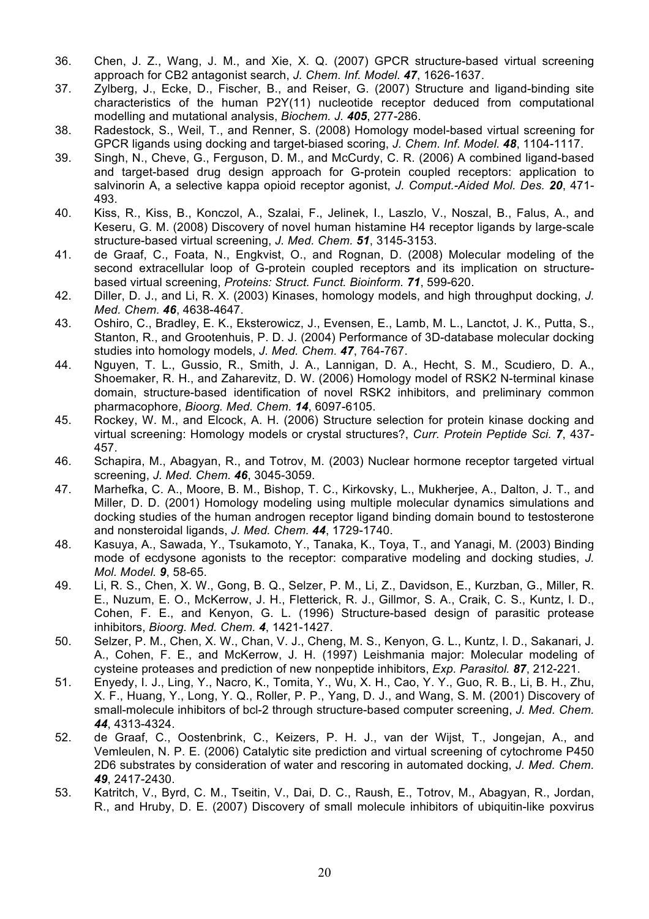- 36. Chen, J. Z., Wang, J. M., and Xie, X. Q. (2007) GPCR structure-based virtual screening approach for CB2 antagonist search, *J. Chem. Inf. Model. 47*, 1626-1637.
- 37. Zylberg, J., Ecke, D., Fischer, B., and Reiser, G. (2007) Structure and ligand-binding site characteristics of the human P2Y(11) nucleotide receptor deduced from computational modelling and mutational analysis, *Biochem. J. 405*, 277-286.
- 38. Radestock, S., Weil, T., and Renner, S. (2008) Homology model-based virtual screening for GPCR ligands using docking and target-biased scoring, *J. Chem. Inf. Model. 48*, 1104-1117.
- 39. Singh, N., Cheve, G., Ferguson, D. M., and McCurdy, C. R. (2006) A combined ligand-based and target-based drug design approach for G-protein coupled receptors: application to salvinorin A, a selective kappa opioid receptor agonist, *J. Comput.-Aided Mol. Des. 20*, 471- 493.
- 40. Kiss, R., Kiss, B., Konczol, A., Szalai, F., Jelinek, I., Laszlo, V., Noszal, B., Falus, A., and Keseru, G. M. (2008) Discovery of novel human histamine H4 receptor ligands by large-scale structure-based virtual screening, *J. Med. Chem. 51*, 3145-3153.
- 41. de Graaf, C., Foata, N., Engkvist, O., and Rognan, D. (2008) Molecular modeling of the second extracellular loop of G-protein coupled receptors and its implication on structurebased virtual screening, *Proteins: Struct. Funct. Bioinform. 71*, 599-620.
- 42. Diller, D. J., and Li, R. X. (2003) Kinases, homology models, and high throughput docking, *J. Med. Chem. 46*, 4638-4647.
- 43. Oshiro, C., Bradley, E. K., Eksterowicz, J., Evensen, E., Lamb, M. L., Lanctot, J. K., Putta, S., Stanton, R., and Grootenhuis, P. D. J. (2004) Performance of 3D-database molecular docking studies into homology models, *J. Med. Chem. 47*, 764-767.
- 44. Nguyen, T. L., Gussio, R., Smith, J. A., Lannigan, D. A., Hecht, S. M., Scudiero, D. A., Shoemaker, R. H., and Zaharevitz, D. W. (2006) Homology model of RSK2 N-terminal kinase domain, structure-based identification of novel RSK2 inhibitors, and preliminary common pharmacophore, *Bioorg. Med. Chem. 14*, 6097-6105.
- 45. Rockey, W. M., and Elcock, A. H. (2006) Structure selection for protein kinase docking and virtual screening: Homology models or crystal structures?, *Curr. Protein Peptide Sci. 7*, 437- 457.
- 46. Schapira, M., Abagyan, R., and Totrov, M. (2003) Nuclear hormone receptor targeted virtual screening, *J. Med. Chem. 46*, 3045-3059.
- 47. Marhefka, C. A., Moore, B. M., Bishop, T. C., Kirkovsky, L., Mukherjee, A., Dalton, J. T., and Miller, D. D. (2001) Homology modeling using multiple molecular dynamics simulations and docking studies of the human androgen receptor ligand binding domain bound to testosterone and nonsteroidal ligands, *J. Med. Chem. 44*, 1729-1740.
- 48. Kasuya, A., Sawada, Y., Tsukamoto, Y., Tanaka, K., Toya, T., and Yanagi, M. (2003) Binding mode of ecdysone agonists to the receptor: comparative modeling and docking studies, *J. Mol. Model. 9*, 58-65.
- 49. Li, R. S., Chen, X. W., Gong, B. Q., Selzer, P. M., Li, Z., Davidson, E., Kurzban, G., Miller, R. E., Nuzum, E. O., McKerrow, J. H., Fletterick, R. J., Gillmor, S. A., Craik, C. S., Kuntz, I. D., Cohen, F. E., and Kenyon, G. L. (1996) Structure-based design of parasitic protease inhibitors, *Bioorg. Med. Chem. 4*, 1421-1427.
- 50. Selzer, P. M., Chen, X. W., Chan, V. J., Cheng, M. S., Kenyon, G. L., Kuntz, I. D., Sakanari, J. A., Cohen, F. E., and McKerrow, J. H. (1997) Leishmania major: Molecular modeling of cysteine proteases and prediction of new nonpeptide inhibitors, *Exp. Parasitol. 87*, 212-221.
- 51. Enyedy, I. J., Ling, Y., Nacro, K., Tomita, Y., Wu, X. H., Cao, Y. Y., Guo, R. B., Li, B. H., Zhu, X. F., Huang, Y., Long, Y. Q., Roller, P. P., Yang, D. J., and Wang, S. M. (2001) Discovery of small-molecule inhibitors of bcl-2 through structure-based computer screening, *J. Med. Chem. 44*, 4313-4324.
- 52. de Graaf, C., Oostenbrink, C., Keizers, P. H. J., van der Wijst, T., Jongejan, A., and Vemleulen, N. P. E. (2006) Catalytic site prediction and virtual screening of cytochrome P450 2D6 substrates by consideration of water and rescoring in automated docking, *J. Med. Chem. 49*, 2417-2430.
- 53. Katritch, V., Byrd, C. M., Tseitin, V., Dai, D. C., Raush, E., Totrov, M., Abagyan, R., Jordan, R., and Hruby, D. E. (2007) Discovery of small molecule inhibitors of ubiquitin-like poxvirus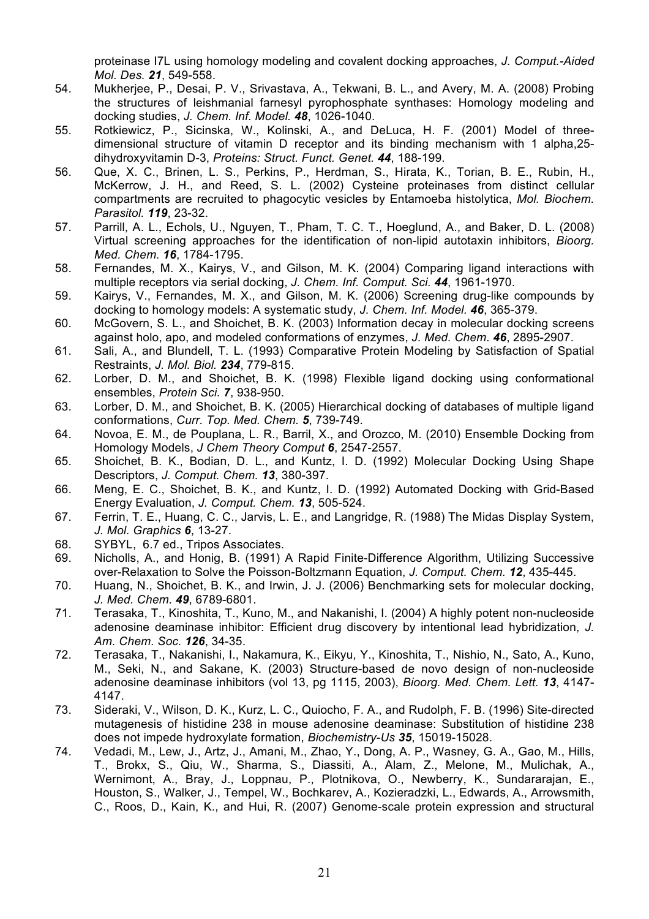proteinase I7L using homology modeling and covalent docking approaches, *J. Comput.-Aided Mol. Des. 21*, 549-558.

- 54. Mukherjee, P., Desai, P. V., Srivastava, A., Tekwani, B. L., and Avery, M. A. (2008) Probing the structures of leishmanial farnesyl pyrophosphate synthases: Homology modeling and docking studies, *J. Chem. Inf. Model. 48*, 1026-1040.
- 55. Rotkiewicz, P., Sicinska, W., Kolinski, A., and DeLuca, H. F. (2001) Model of threedimensional structure of vitamin D receptor and its binding mechanism with 1 alpha,25 dihydroxyvitamin D-3, *Proteins: Struct. Funct. Genet. 44*, 188-199.
- 56. Que, X. C., Brinen, L. S., Perkins, P., Herdman, S., Hirata, K., Torian, B. E., Rubin, H., McKerrow, J. H., and Reed, S. L. (2002) Cysteine proteinases from distinct cellular compartments are recruited to phagocytic vesicles by Entamoeba histolytica, *Mol. Biochem. Parasitol. 119*, 23-32.
- 57. Parrill, A. L., Echols, U., Nguyen, T., Pham, T. C. T., Hoeglund, A., and Baker, D. L. (2008) Virtual screening approaches for the identification of non-lipid autotaxin inhibitors, *Bioorg. Med. Chem. 16*, 1784-1795.
- 58. Fernandes, M. X., Kairys, V., and Gilson, M. K. (2004) Comparing ligand interactions with multiple receptors via serial docking, *J. Chem. Inf. Comput. Sci. 44*, 1961-1970.
- 59. Kairys, V., Fernandes, M. X., and Gilson, M. K. (2006) Screening drug-like compounds by docking to homology models: A systematic study, *J. Chem. Inf. Model. 46*, 365-379.
- 60. McGovern, S. L., and Shoichet, B. K. (2003) Information decay in molecular docking screens against holo, apo, and modeled conformations of enzymes, *J. Med. Chem. 46*, 2895-2907.
- 61. Sali, A., and Blundell, T. L. (1993) Comparative Protein Modeling by Satisfaction of Spatial Restraints, *J. Mol. Biol. 234*, 779-815.
- 62. Lorber, D. M., and Shoichet, B. K. (1998) Flexible ligand docking using conformational ensembles, *Protein Sci. 7*, 938-950.
- 63. Lorber, D. M., and Shoichet, B. K. (2005) Hierarchical docking of databases of multiple ligand conformations, *Curr. Top. Med. Chem. 5*, 739-749.
- 64. Novoa, E. M., de Pouplana, L. R., Barril, X., and Orozco, M. (2010) Ensemble Docking from Homology Models, *J Chem Theory Comput 6*, 2547-2557.
- 65. Shoichet, B. K., Bodian, D. L., and Kuntz, I. D. (1992) Molecular Docking Using Shape Descriptors, *J. Comput. Chem. 13*, 380-397.
- 66. Meng, E. C., Shoichet, B. K., and Kuntz, I. D. (1992) Automated Docking with Grid-Based Energy Evaluation, *J. Comput. Chem. 13*, 505-524.
- 67. Ferrin, T. E., Huang, C. C., Jarvis, L. E., and Langridge, R. (1988) The Midas Display System, *J. Mol. Graphics 6*, 13-27.
- 68. SYBYL, 6.7 ed., Tripos Associates.
- 69. Nicholls, A., and Honig, B. (1991) A Rapid Finite-Difference Algorithm, Utilizing Successive over-Relaxation to Solve the Poisson-Boltzmann Equation, *J. Comput. Chem. 12*, 435-445.
- 70. Huang, N., Shoichet, B. K., and Irwin, J. J. (2006) Benchmarking sets for molecular docking, *J. Med. Chem. 49*, 6789-6801.
- 71. Terasaka, T., Kinoshita, T., Kuno, M., and Nakanishi, I. (2004) A highly potent non-nucleoside adenosine deaminase inhibitor: Efficient drug discovery by intentional lead hybridization, *J. Am. Chem. Soc. 126*, 34-35.
- 72. Terasaka, T., Nakanishi, I., Nakamura, K., Eikyu, Y., Kinoshita, T., Nishio, N., Sato, A., Kuno, M., Seki, N., and Sakane, K. (2003) Structure-based de novo design of non-nucleoside adenosine deaminase inhibitors (vol 13, pg 1115, 2003), *Bioorg. Med. Chem. Lett. 13*, 4147- 4147.
- 73. Sideraki, V., Wilson, D. K., Kurz, L. C., Quiocho, F. A., and Rudolph, F. B. (1996) Site-directed mutagenesis of histidine 238 in mouse adenosine deaminase: Substitution of histidine 238 does not impede hydroxylate formation, *Biochemistry-Us 35*, 15019-15028.
- 74. Vedadi, M., Lew, J., Artz, J., Amani, M., Zhao, Y., Dong, A. P., Wasney, G. A., Gao, M., Hills, T., Brokx, S., Qiu, W., Sharma, S., Diassiti, A., Alam, Z., Melone, M., Mulichak, A., Wernimont, A., Bray, J., Loppnau, P., Plotnikova, O., Newberry, K., Sundararajan, E., Houston, S., Walker, J., Tempel, W., Bochkarev, A., Kozieradzki, L., Edwards, A., Arrowsmith, C., Roos, D., Kain, K., and Hui, R. (2007) Genome-scale protein expression and structural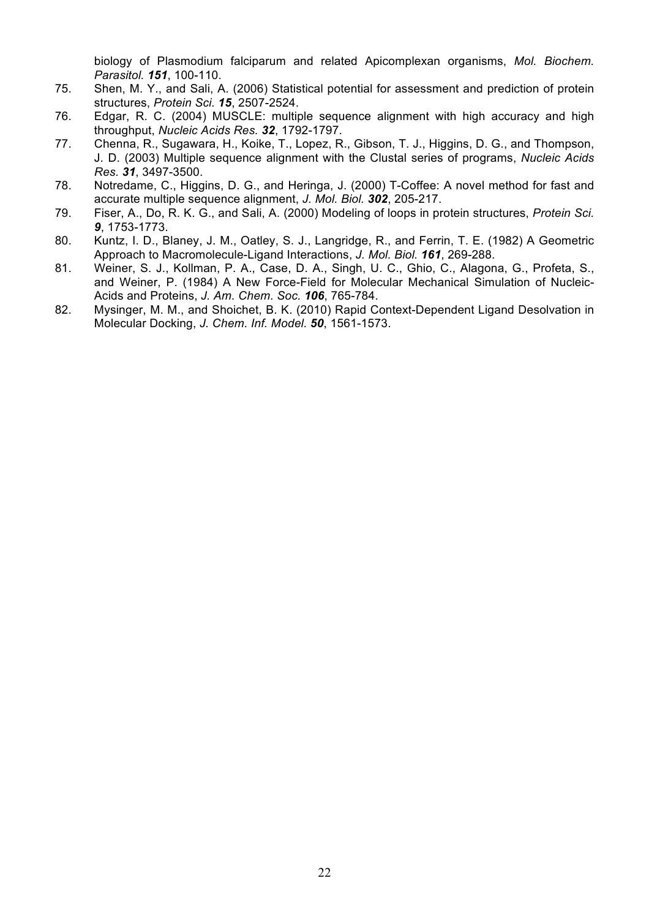biology of Plasmodium falciparum and related Apicomplexan organisms, *Mol. Biochem. Parasitol. 151*, 100-110.

- 75. Shen, M. Y., and Sali, A. (2006) Statistical potential for assessment and prediction of protein structures, *Protein Sci. 15*, 2507-2524.
- 76. Edgar, R. C. (2004) MUSCLE: multiple sequence alignment with high accuracy and high throughput, *Nucleic Acids Res. 32*, 1792-1797.
- 77. Chenna, R., Sugawara, H., Koike, T., Lopez, R., Gibson, T. J., Higgins, D. G., and Thompson, J. D. (2003) Multiple sequence alignment with the Clustal series of programs, *Nucleic Acids Res. 31*, 3497-3500.
- 78. Notredame, C., Higgins, D. G., and Heringa, J. (2000) T-Coffee: A novel method for fast and accurate multiple sequence alignment, *J. Mol. Biol. 302*, 205-217.
- 79. Fiser, A., Do, R. K. G., and Sali, A. (2000) Modeling of loops in protein structures, *Protein Sci. 9*, 1753-1773.
- 80. Kuntz, I. D., Blaney, J. M., Oatley, S. J., Langridge, R., and Ferrin, T. E. (1982) A Geometric Approach to Macromolecule-Ligand Interactions, *J. Mol. Biol. 161*, 269-288.
- 81. Weiner, S. J., Kollman, P. A., Case, D. A., Singh, U. C., Ghio, C., Alagona, G., Profeta, S., and Weiner, P. (1984) A New Force-Field for Molecular Mechanical Simulation of Nucleic-Acids and Proteins, *J. Am. Chem. Soc. 106*, 765-784.
- 82. Mysinger, M. M., and Shoichet, B. K. (2010) Rapid Context-Dependent Ligand Desolvation in Molecular Docking, *J. Chem. Inf. Model. 50*, 1561-1573.